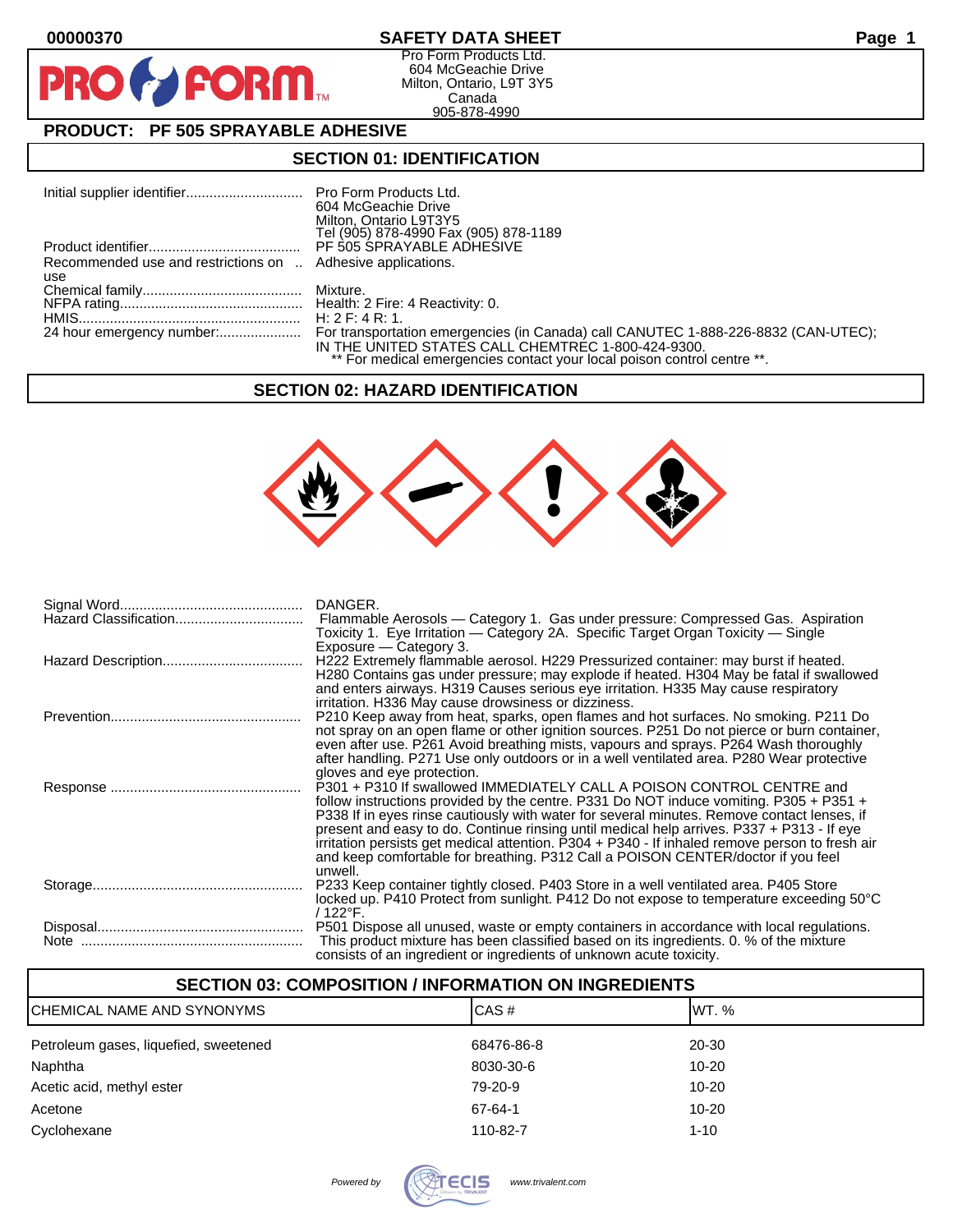$\bullet$ 

PR

### **00000370 SAFETY DATA SHEET Page 1**

Pro Form Products Ltd. 604 McGeachie Drive Milton, Ontario, L9T 3Y5 Canada 905-878-4990

# **PRODUCT: PF 505 SPRAYABLE ADHESIVE**

FORM.

# **SECTION 01: IDENTIFICATION**

|                                                             | 604 McGeachie Drive<br>Milton, Ontario L9T3Y5<br>Tel (905) 878-4990 Fax (905) 878-1189                                        |
|-------------------------------------------------------------|-------------------------------------------------------------------------------------------------------------------------------|
|                                                             |                                                                                                                               |
| Recommended use and restrictions on  Adhesive applications. |                                                                                                                               |
| use                                                         |                                                                                                                               |
|                                                             |                                                                                                                               |
|                                                             |                                                                                                                               |
|                                                             |                                                                                                                               |
|                                                             | IN THE UNITED STATES CALL CHEMTREC 1-800-424-9300.<br>** For medical emergencies contact your local poison control centre **. |

#### **SECTION 02: HAZARD IDENTIFICATION**



| DANGER.                                                                                                                                                                              |
|--------------------------------------------------------------------------------------------------------------------------------------------------------------------------------------|
| Flammable Aerosols - Category 1. Gas under pressure: Compressed Gas. Aspiration<br>Toxicity 1. Eye Irritation — Category 2A. Specific Target Organ Toxicity — Single                 |
| Exposure – Category 3.<br>H222 Extremely flammable aerosol. H229 Pressurized container: may burst if heated.                                                                         |
| H280 Contains gas under pressure; may explode if heated. H304 May be fatal if swallowed<br>and enters airways. H319 Causes serious eye irritation. H335 May cause respiratory        |
| irritation. H336 May cause drowsiness or dizziness.                                                                                                                                  |
| P210 Keep away from heat, sparks, open flames and hot surfaces. No smoking. P211 Do<br>not spray on an open flame or other ignition sources. P251 Do not pierce or burn container,   |
| even after use. P261 Avoid breathing mists, vapours and sprays. P264 Wash thoroughly                                                                                                 |
| after handling. P271 Use only outdoors or in a well ventilated area. P280 Wear protective<br>gloves and eye protection.                                                              |
| P301 + P310 If swallowed IMMEDIATELY CALL A POISON CONTROL CENTRE and                                                                                                                |
| follow instructions provided by the centre. P331 Do NOT induce vomiting. P305 + P351 +<br>P338 If in eyes rinse cautiously with water for several minutes. Remove contact lenses, if |
| present and easy to do. Continue rinsing until medical help arrives. P337 + P313 - If eye                                                                                            |
| irritation persists get medical attention. P304 + P340 - If inhaled remove person to fresh air<br>and keep comfortable for breathing. P312 Call a POISON CENTER/doctor if you feel   |
| unwell.                                                                                                                                                                              |
| P233 Keep container tightly closed. P403 Store in a well ventilated area. P405 Store<br>locked up. P410 Protect from sunlight. P412 Do not expose to temperature exceeding 50°C      |
| / 122°F.                                                                                                                                                                             |
| P501 Dispose all unused, waste or empty containers in accordance with local regulations.                                                                                             |
| This product mixture has been classified based on its ingredients. 0. % of the mixture<br>consists of an ingredient or ingredients of unknown acute toxicity.                        |

| <b>SECTION 03: COMPOSITION / INFORMATION ON INGREDIENTS</b> |            |           |  |  |
|-------------------------------------------------------------|------------|-----------|--|--|
| CAS#<br>IWT. %<br>CHEMICAL NAME AND SYNONYMS                |            |           |  |  |
| Petroleum gases, liquefied, sweetened                       | 68476-86-8 | 20-30     |  |  |
| Naphtha                                                     | 8030-30-6  | $10 - 20$ |  |  |
| Acetic acid, methyl ester                                   | 79-20-9    | $10 - 20$ |  |  |
| Acetone                                                     | 67-64-1    | $10 - 20$ |  |  |
| Cyclohexane                                                 | 110-82-7   | $1 - 10$  |  |  |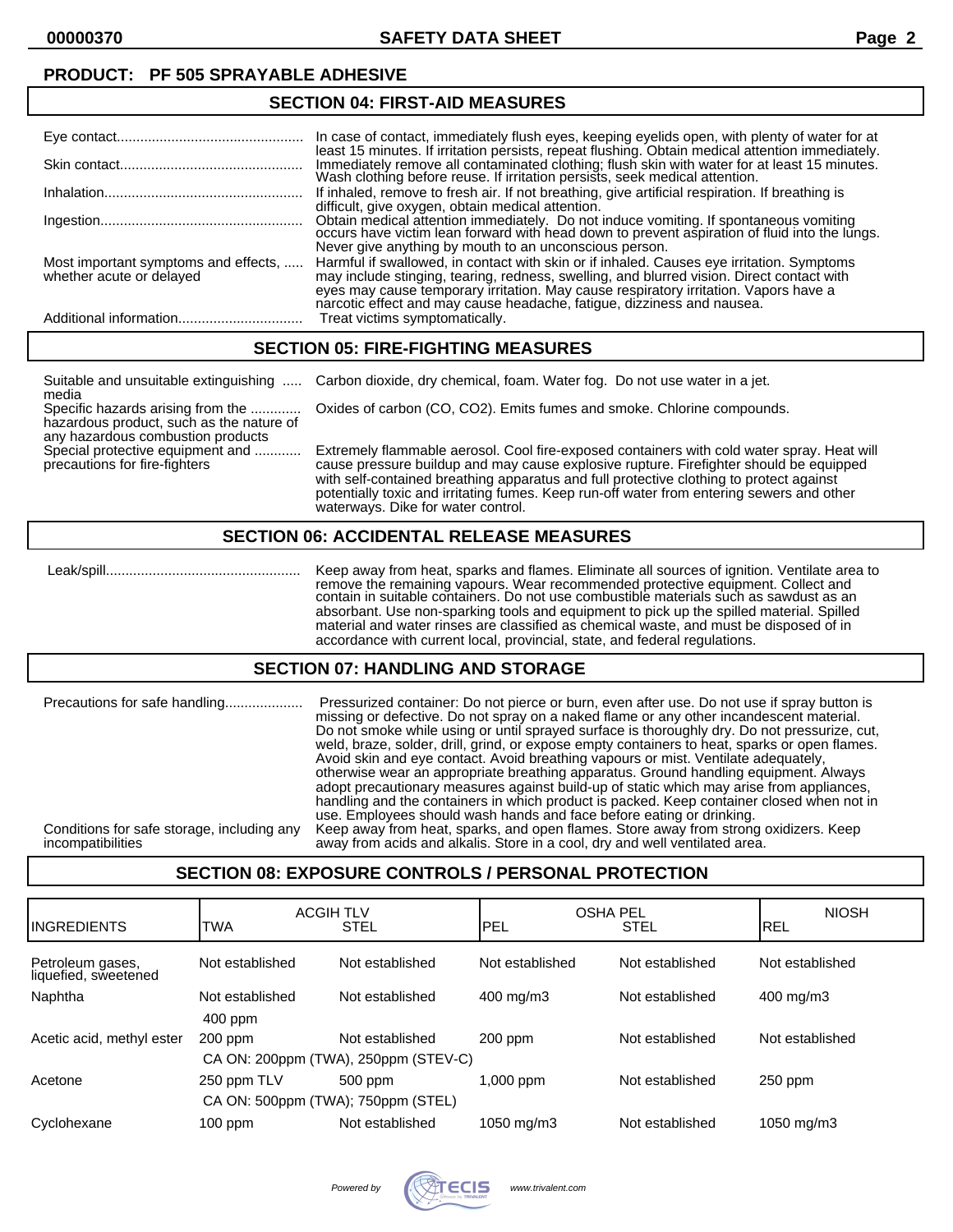### **PRODUCT: PF 505 SPRAYABLE ADHESIVE**

#### **SECTION 04: FIRST-AID MEASURES**

|                          | In case of contact, immediately flush eyes, keeping eyelids open, with plenty of water for at<br>least 15 minutes. If irritation persists, repeat flushing. Obtain medical attention immediately.                                                                                                                                                                                           |
|--------------------------|---------------------------------------------------------------------------------------------------------------------------------------------------------------------------------------------------------------------------------------------------------------------------------------------------------------------------------------------------------------------------------------------|
|                          | Immediately remove all contaminated clothing; flush skin with water for at least 15 minutes.<br>Wash clothing before reuse. If irritation persists, seek medical attention.                                                                                                                                                                                                                 |
|                          | If inhaled, remove to fresh air. If not breathing, give artificial respiration. If breathing is<br>difficult, give oxygen, obtain medical attention.                                                                                                                                                                                                                                        |
|                          | Obtain medical attention immediately. Do not induce vomiting. If spontaneous vomiting occurs have victim lean forward with head down to prevent aspiration of fluid into the lungs.<br>Never give anything by mouth to an unconscious person.                                                                                                                                               |
| whether acute or delayed | Most important symptoms and effects,  Harmful if swallowed, in contact with skin or if inhaled. Causes eye irritation. Symptoms<br>may include stinging, tearing, redness, swelling, and blurred vision. Direct contact with<br>eyes may cause temporary irritation. May cause respiratory irritation. Vapors have a narcotic effect and may cause headache, fatigue, dizziness and nausea. |
|                          | Treat victims symptomatically.                                                                                                                                                                                                                                                                                                                                                              |

### **SECTION 05: FIRE-FIGHTING MEASURES**

Suitable and unsuitable extinguishing ..... Carbon dioxide, dry chemical, foam. Water fog. Do not use water in a jet. media

Specific hazards arising from the ............. Oxides of carbon (CO, CO2). Emits fumes and smoke. Chlorine compounds. hazardous product, such as the nature of any hazardous combustion products<br>Special protective equipment and ...........

Extremely flammable aerosol. Cool fire-exposed containers with cold water spray. Heat will precautions for fire-fighters cause pressure buildup and may cause explosive rupture. Firefighter should be equipped with self-contained breathing apparatus and full protective clothing to protect against potentially toxic and irritating fumes. Keep run-off water from entering sewers and other waterways. Dike for water control.

### **SECTION 06: ACCIDENTAL RELEASE MEASURES**

 Leak/spill.................................................. Keep away from heat, sparks and flames. Eliminate all sources of ignition. Ventilate area to remove the remaining vapours. Wear recommended protective equipment. Collect and contain in suitable containers. Do not use combustible materials such as sawdust as an absorbant. Use non-sparking tools and equipment to pick up the spilled material. Spilled material and water rinses are classified as chemical waste, and must be disposed of in accordance with current local, provincial, state, and federal regulations.

#### **SECTION 07: HANDLING AND STORAGE**

| Precautions for safe handling              | Pressurized container: Do not pierce or burn, even after use. Do not use if spray button is<br>missing or defective. Do not spray on a naked flame or any other incandescent material.<br>Do not smoke while using or until sprayed surface is thoroughly dry. Do not pressurize, cut,<br>weld, braze, solder, drill, grind, or expose empty containers to heat, sparks or open flames.<br>Avoid skin and eye contact. Avoid breathing vapours or mist. Ventilate adequately,<br>otherwise wear an appropriate breathing apparatus. Ground handling equipment. Always<br>adopt precautionary measures against build-up of static which may arise from appliances,<br>handling and the containers in which product is packed. Keep container closed when not in<br>use. Employees should wash hands and face before eating or drinking. |
|--------------------------------------------|----------------------------------------------------------------------------------------------------------------------------------------------------------------------------------------------------------------------------------------------------------------------------------------------------------------------------------------------------------------------------------------------------------------------------------------------------------------------------------------------------------------------------------------------------------------------------------------------------------------------------------------------------------------------------------------------------------------------------------------------------------------------------------------------------------------------------------------|
| Conditions for safe storage, including any | Keep away from heat, sparks, and open flames. Store away from strong oxidizers. Keep                                                                                                                                                                                                                                                                                                                                                                                                                                                                                                                                                                                                                                                                                                                                                   |
| incompatibilities                          | away from acids and alkalis. Store in a cool, dry and well ventilated area.                                                                                                                                                                                                                                                                                                                                                                                                                                                                                                                                                                                                                                                                                                                                                            |

# **SECTION 08: EXPOSURE CONTROLS / PERSONAL PROTECTION**

| <b>INGREDIENTS</b>                       | <b>ACGIH TLV</b><br>TWA | <b>STEL</b>     | <b>OSHA PEL</b><br>IPEL | <b>STEL</b>     | <b>NIOSH</b><br><b>IREL</b> |
|------------------------------------------|-------------------------|-----------------|-------------------------|-----------------|-----------------------------|
| Petroleum gases,<br>liquefied, sweetened | Not established         | Not established | Not established         | Not established | Not established             |
| Naphtha                                  | Not established         | Not established | 400 mg/m3               | Not established | 400 mg/m3                   |
|                                          | $400$ ppm               |                 |                         |                 |                             |
| Acetic acid, methyl ester                | $200$ ppm               | Not established | $200$ ppm               | Not established | Not established             |
| CA ON: 200ppm (TWA), 250ppm (STEV-C)     |                         |                 |                         |                 |                             |
| Acetone                                  | 250 ppm TLV             | 500 ppm         | $1,000$ ppm             | Not established | $250$ ppm                   |
| CA ON: 500ppm (TWA); 750ppm (STEL)       |                         |                 |                         |                 |                             |
| Cyclohexane                              | $100$ ppm               | Not established | 1050 mg/m3              | Not established | 1050 mg/m3                  |

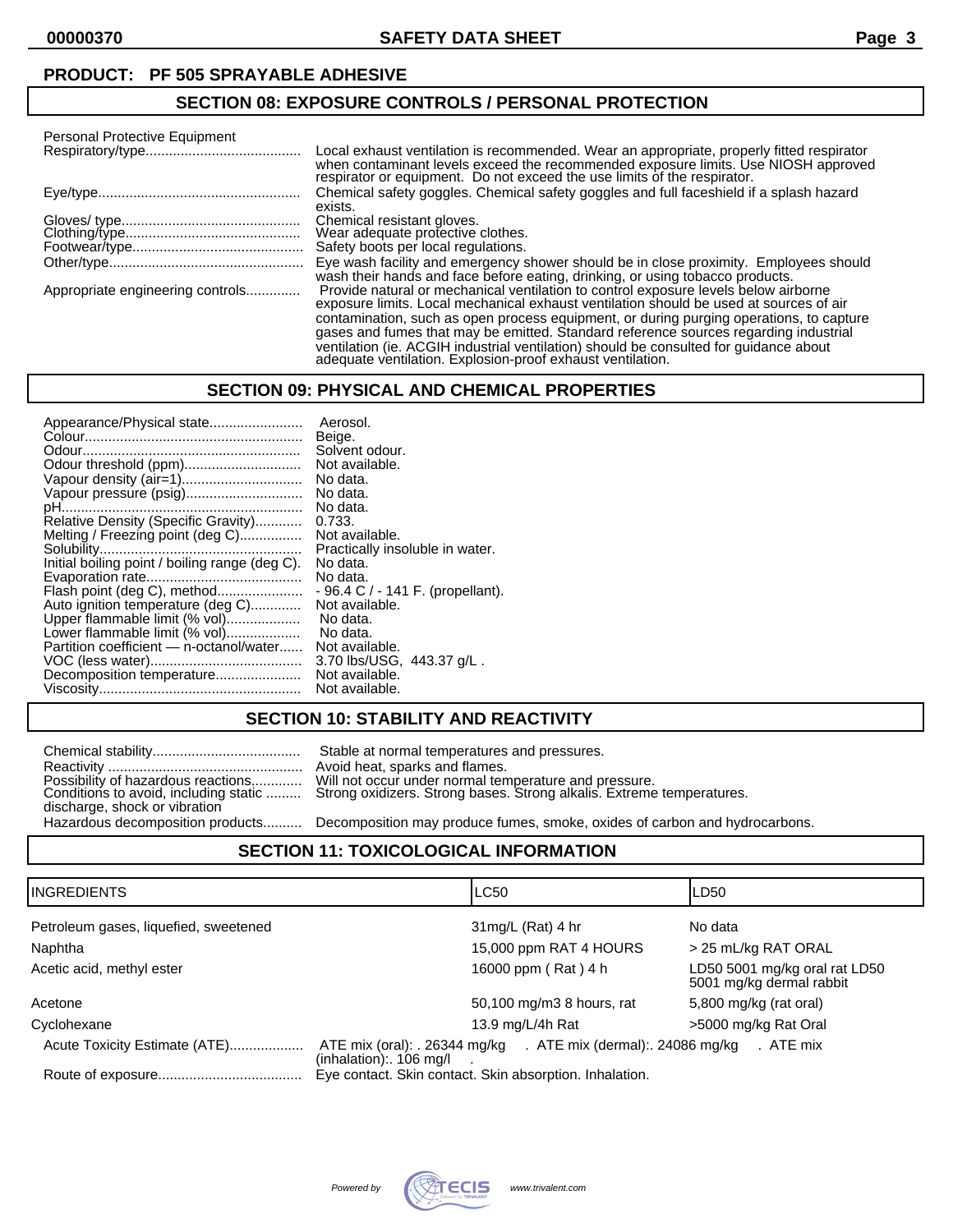#### **PRODUCT: PF 505 SPRAYABLE ADHESIVE**

### **SECTION 08: EXPOSURE CONTROLS / PERSONAL PROTECTION**

| Personal Protective Equipment    |                                                                                                                                                                                                                                                                                                                                        |  |  |
|----------------------------------|----------------------------------------------------------------------------------------------------------------------------------------------------------------------------------------------------------------------------------------------------------------------------------------------------------------------------------------|--|--|
|                                  | Local exhaust ventilation is recommended. Wear an appropriate, properly fitted respirator<br>when contaminant levels exceed the recommended exposure limits. Use NIOSH approved<br>respirator or equipment. Do not exceed the use limits of the respirator.                                                                            |  |  |
|                                  | Chemical safety goggles. Chemical safety goggles and full faceshield if a splash hazard<br>exists.                                                                                                                                                                                                                                     |  |  |
|                                  | Chemical resistant gloves.                                                                                                                                                                                                                                                                                                             |  |  |
|                                  | Wear adequate profective clothes.                                                                                                                                                                                                                                                                                                      |  |  |
|                                  | Safety boots per local regulations.                                                                                                                                                                                                                                                                                                    |  |  |
|                                  | Eye wash facility and emergency shower should be in close proximity. Employees should<br>wash their hands and face before eating, drinking, or using tobacco products.                                                                                                                                                                 |  |  |
| Appropriate engineering controls | Provide natural or mechanical ventilation to control exposure levels below airborne<br>exposure limits. Local mechanical exhaust ventilation should be used at sources of air                                                                                                                                                          |  |  |
|                                  | contamination, such as open process equipment, or during purging operations, to capture<br>gases and fumes that may be emitted. Standard reference sources regarding industrial<br>ventilation (ie. ACGIH industrial ventilation) should be consulted for quidance about<br>adequate ventilation. Explosion-proof exhaust ventilation. |  |  |

#### **SECTION 09: PHYSICAL AND CHEMICAL PROPERTIES**

| Appearance/Physical state                      | Aerosol.                           |
|------------------------------------------------|------------------------------------|
|                                                | Beige.                             |
|                                                | Solvent odour.                     |
| Odour threshold (ppm)                          | Not available.                     |
|                                                | No data.                           |
| Vapour pressure (psig)                         | No data.                           |
|                                                | No data.                           |
| Relative Density (Specific Gravity)            | 0.733.                             |
| Melting / Freezing point (deg C)               | Not available.                     |
|                                                | Practically insoluble in water.    |
| Initial boiling point / boiling range (deg C). | No data.                           |
|                                                | No data.                           |
| Flash point (deg C), method                    | $-96.4 C / - 141 F.$ (propellant). |
| Auto ignition temperature (deg C)              | Not available.                     |
| Upper flammable limit (% vol)                  | No data.                           |
| Lower flammable limit (% vol)                  | No data.                           |
| Partition coefficient - n-octanol/water        | Not available.                     |
|                                                | 3.70 lbs/USG, 443.37 g/L.          |
| Decomposition temperature                      | Not available.                     |
|                                                | Not available.                     |
|                                                |                                    |

## **SECTION 10: STABILITY AND REACTIVITY**

|                                       | Stable at normal temperatures and pressures.            |
|---------------------------------------|---------------------------------------------------------|
|                                       | Avoid heat, sparks and flames.                          |
| Possibility of hazardous reactions    | Will not occur under normal temperature and pressure.   |
| Conditions to avoid, including static | Strong oxidizers. Strong bases. Strong alkalis. Extreme |
| discharge, shock or vibration         |                                                         |
| Hazardous decomposition products      | Decomposition may produce fumes, smoke, oxides of c     |

ormal temperatures and pressures. sparks and flames. Conditions to avoid, including static ......... Strong oxidizers. Strong bases. Strong alkalis. Extreme temperatures.

cts.......... Decomposition may produce fumes, smoke, oxides of carbon and hydrocarbons.

## **SECTION 11: TOXICOLOGICAL INFORMATION**

| IINGREDIENTS                          | <b>LC50</b>                                                                                            | LD50                                                      |
|---------------------------------------|--------------------------------------------------------------------------------------------------------|-----------------------------------------------------------|
| Petroleum gases, liquefied, sweetened | $31mg/L$ (Rat) 4 hr                                                                                    | No data                                                   |
| Naphtha                               | 15,000 ppm RAT 4 HOURS                                                                                 | > 25 mL/kg RAT ORAL                                       |
| Acetic acid, methyl ester             | 16000 ppm (Rat) 4 h                                                                                    | LD50 5001 mg/kg oral rat LD50<br>5001 mg/kg dermal rabbit |
| Acetone                               | 50,100 mg/m3 8 hours, rat                                                                              | 5,800 mg/kg (rat oral)                                    |
| Cyclohexane                           | 13.9 mg/L/4h Rat                                                                                       | >5000 mg/kg Rat Oral                                      |
| Acute Toxicity Estimate (ATE)         | ATE mix (oral): . 26344 mg/kg . ATE mix (dermal): . 24086 mg/kg . ATE mix<br>$(inhalation)$ : 106 mg/l |                                                           |
|                                       | Eye contact. Skin contact. Skin absorption. Inhalation.                                                |                                                           |